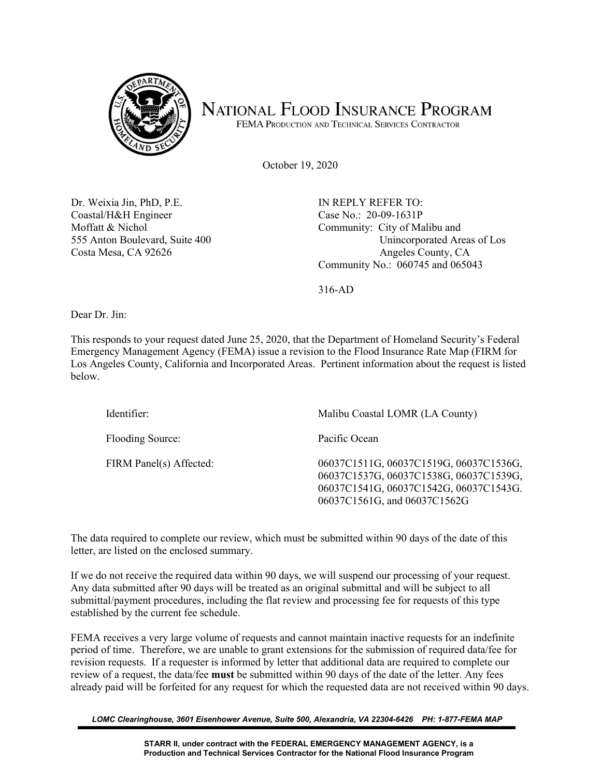

## NATIONAL FLOOD INSURANCE PROGRAM

FEMA PRODUCTION AND TECHNICAL SERVICES CONTRACTOR

October 19, 2020

Dr. Weixia Jin, PhD, P.E. Coastal/H&H Engineer Moffatt & Nichol 555 Anton Boulevard, Suite 400 Costa Mesa, CA 92626

IN REPLY REFER TO: Case No.: 20-09-1631P Community: City of Malibu and Unincorporated Areas of Los Angeles County, CA Community No.: 060745 and 065043

316-AD

Dear Dr. Jin:

This responds to your request dated June 25, 2020, that the Department of Homeland Security's Federal Emergency Management Agency (FEMA) issue a revision to the Flood Insurance Rate Map (FIRM for Los Angeles County, California and Incorporated Areas. Pertinent information about the request is listed below.

| Identifier:             | Malibu Coastal LOMR (LA County)                                                                                                                            |
|-------------------------|------------------------------------------------------------------------------------------------------------------------------------------------------------|
| Flooding Source:        | Pacific Ocean                                                                                                                                              |
| FIRM Panel(s) Affected: | 06037C1511G, 06037C1519G, 06037C1536G,<br>06037C1537G, 06037C1538G, 06037C1539G,<br>06037C1541G, 06037C1542G, 06037C1543G.<br>06037C1561G, and 06037C1562G |

The data required to complete our review, which must be submitted within 90 days of the date of this letter, are listed on the enclosed summary.

If we do not receive the required data within 90 days, we will suspend our processing of your request. Any data submitted after 90 days will be treated as an original submittal and will be subject to all submittal/payment procedures, including the flat review and processing fee for requests of this type established by the current fee schedule.

FEMA receives a very large volume of requests and cannot maintain inactive requests for an indefinite period of time. Therefore, we are unable to grant extensions for the submission of required data/fee for revision requests. If a requester is informed by letter that additional data are required to complete our review of a request, the data/fee **must** be submitted within 90 days of the date of the letter. Any fees already paid will be forfeited for any request for which the requested data are not received within 90 days.

*LOMC Clearinghouse, 3601 Eisenhower Avenue, Suite 500, Alexandria, VA 22304-6426 PH: 1-877-FEMA MAP*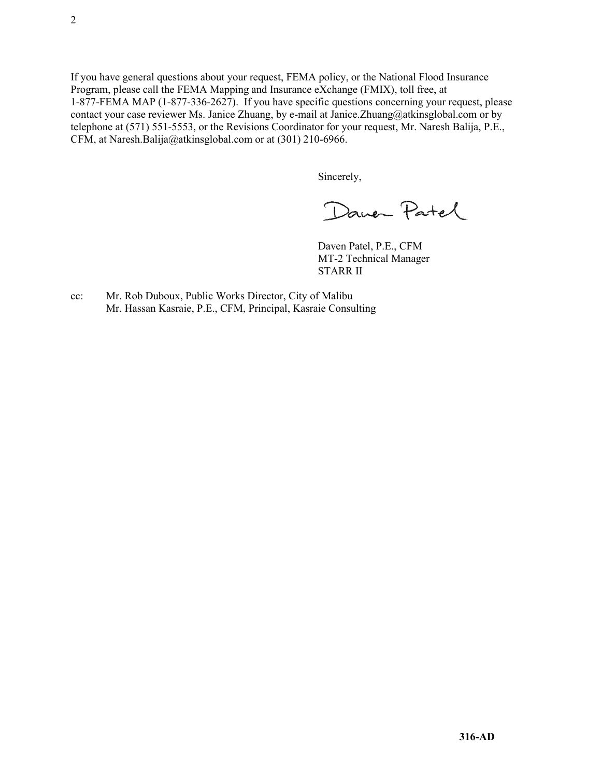If you have general questions about your request, FEMA policy, or the National Flood Insurance Program, please call the FEMA Mapping and Insurance eXchange (FMIX), toll free, at 1-877-FEMA MAP (1-877-336-2627). If you have specific questions concerning your request, please contact your case reviewer Ms. Janice Zhuang, by e-mail at Janice.Zhuang@atkinsglobal.com or by telephone at (571) 551-5553, or the Revisions Coordinator for your request, Mr. Naresh Balija, P.E., CFM, at Naresh.Balija@atkinsglobal.com or at (301) 210-6966.

Sincerely,

Daver Patel

Daven Patel, P.E., CFM MT-2 Technical Manager STARR II

cc: Mr. Rob Duboux, Public Works Director, City of Malibu Mr. Hassan Kasraie, P.E., CFM, Principal, Kasraie Consulting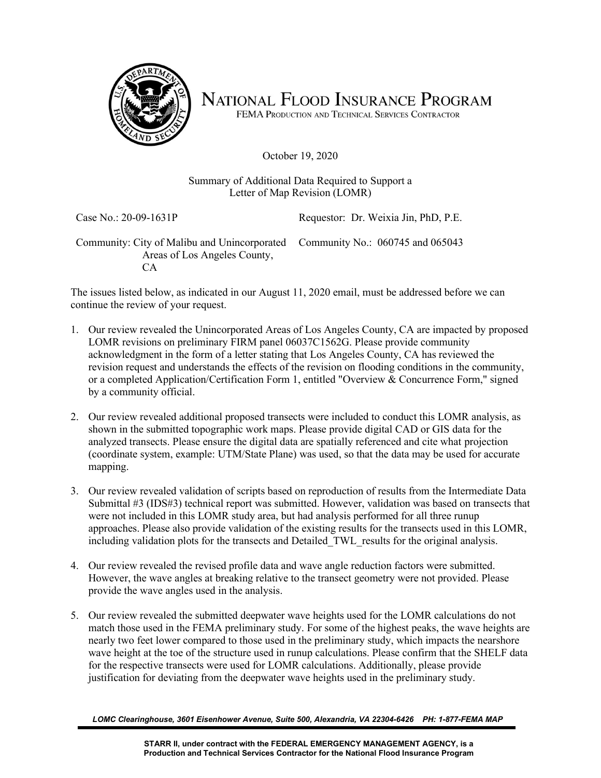

NATIONAL FLOOD INSURANCE PROGRAM

FEMA PRODUCTION AND TECHNICAL SERVICES CONTRACTOR

October 19, 2020

## Summary of Additional Data Required to Support a Letter of Map Revision (LOMR)

Case No.: 20-09-1631P Requestor: Dr. Weixia Jin, PhD, P.E.

Community: City of Malibu and Unincorporated Community No.: 060745 and 065043 Areas of Los Angeles County, CA

The issues listed below, as indicated in our August 11, 2020 email, must be addressed before we can continue the review of your request.

- 1. Our review revealed the Unincorporated Areas of Los Angeles County, CA are impacted by proposed LOMR revisions on preliminary FIRM panel 06037C1562G. Please provide community acknowledgment in the form of a letter stating that Los Angeles County, CA has reviewed the revision request and understands the effects of the revision on flooding conditions in the community, or a completed Application/Certification Form 1, entitled "Overview & Concurrence Form," signed by a community official.
- 2. Our review revealed additional proposed transects were included to conduct this LOMR analysis, as shown in the submitted topographic work maps. Please provide digital CAD or GIS data for the analyzed transects. Please ensure the digital data are spatially referenced and cite what projection (coordinate system, example: UTM/State Plane) was used, so that the data may be used for accurate mapping.
- 3. Our review revealed validation of scripts based on reproduction of results from the Intermediate Data Submittal #3 (IDS#3) technical report was submitted. However, validation was based on transects that were not included in this LOMR study area, but had analysis performed for all three runup approaches. Please also provide validation of the existing results for the transects used in this LOMR, including validation plots for the transects and Detailed\_TWL\_results for the original analysis.
- 4. Our review revealed the revised profile data and wave angle reduction factors were submitted. However, the wave angles at breaking relative to the transect geometry were not provided. Please provide the wave angles used in the analysis.
- 5. Our review revealed the submitted deepwater wave heights used for the LOMR calculations do not match those used in the FEMA preliminary study. For some of the highest peaks, the wave heights are nearly two feet lower compared to those used in the preliminary study, which impacts the nearshore wave height at the toe of the structure used in runup calculations. Please confirm that the SHELF data for the respective transects were used for LOMR calculations. Additionally, please provide justification for deviating from the deepwater wave heights used in the preliminary study.

*LOMC Clearinghouse, 3601 Eisenhower Avenue, Suite 500, Alexandria, VA 22304-6426 PH: 1-877-FEMA MAP*